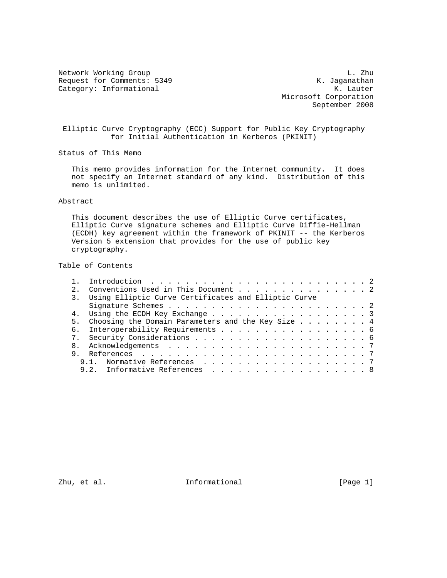Network Working Group<br>Request for Comments: 5349 Media Request for Comments: 5349 Request for Comments: 5349 K. Jaganathan Category: Informational K. Jaganathan K. Lauter Category: Informational

 Microsoft Corporation September 2008

 Elliptic Curve Cryptography (ECC) Support for Public Key Cryptography for Initial Authentication in Kerberos (PKINIT)

Status of This Memo

 This memo provides information for the Internet community. It does not specify an Internet standard of any kind. Distribution of this memo is unlimited.

## Abstract

 This document describes the use of Elliptic Curve certificates, Elliptic Curve signature schemes and Elliptic Curve Diffie-Hellman (ECDH) key agreement within the framework of PKINIT -- the Kerberos Version 5 extension that provides for the use of public key cryptography.

Table of Contents

| 2.1 | Conventions Used in This Document 2                     |  |  |  |  |  |
|-----|---------------------------------------------------------|--|--|--|--|--|
|     | 3. Using Elliptic Curve Certificates and Elliptic Curve |  |  |  |  |  |
|     |                                                         |  |  |  |  |  |
|     | 4. Using the ECDH Key Exchange 3                        |  |  |  |  |  |
|     | 5. Choosing the Domain Parameters and the Key Size 4    |  |  |  |  |  |
|     | 6. Interoperability Requirements 6                      |  |  |  |  |  |
|     |                                                         |  |  |  |  |  |
|     |                                                         |  |  |  |  |  |
|     |                                                         |  |  |  |  |  |
|     | 9.1. Normative References 7                             |  |  |  |  |  |
|     | 9.2. Informative References 8                           |  |  |  |  |  |

Zhu, et al.  $I_n$  Informational (Page 1)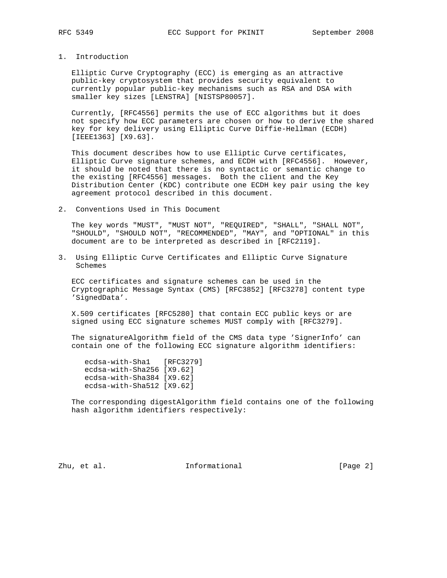## 1. Introduction

 Elliptic Curve Cryptography (ECC) is emerging as an attractive public-key cryptosystem that provides security equivalent to currently popular public-key mechanisms such as RSA and DSA with smaller key sizes [LENSTRA] [NISTSP80057].

 Currently, [RFC4556] permits the use of ECC algorithms but it does not specify how ECC parameters are chosen or how to derive the shared key for key delivery using Elliptic Curve Diffie-Hellman (ECDH) [IEEE1363] [X9.63].

 This document describes how to use Elliptic Curve certificates, Elliptic Curve signature schemes, and ECDH with [RFC4556]. However, it should be noted that there is no syntactic or semantic change to the existing [RFC4556] messages. Both the client and the Key Distribution Center (KDC) contribute one ECDH key pair using the key agreement protocol described in this document.

2. Conventions Used in This Document

 The key words "MUST", "MUST NOT", "REQUIRED", "SHALL", "SHALL NOT", "SHOULD", "SHOULD NOT", "RECOMMENDED", "MAY", and "OPTIONAL" in this document are to be interpreted as described in [RFC2119].

3. Using Elliptic Curve Certificates and Elliptic Curve Signature Schemes

 ECC certificates and signature schemes can be used in the Cryptographic Message Syntax (CMS) [RFC3852] [RFC3278] content type 'SignedData'.

 X.509 certificates [RFC5280] that contain ECC public keys or are signed using ECC signature schemes MUST comply with [RFC3279].

 The signatureAlgorithm field of the CMS data type 'SignerInfo' can contain one of the following ECC signature algorithm identifiers:

 ecdsa-with-Sha1 [RFC3279] ecdsa-with-Sha256 [X9.62] ecdsa-with-Sha384 [X9.62] ecdsa-with-Sha512 [X9.62]

 The corresponding digestAlgorithm field contains one of the following hash algorithm identifiers respectively:

Zhu, et al. 10. Informational 1. [Page 2]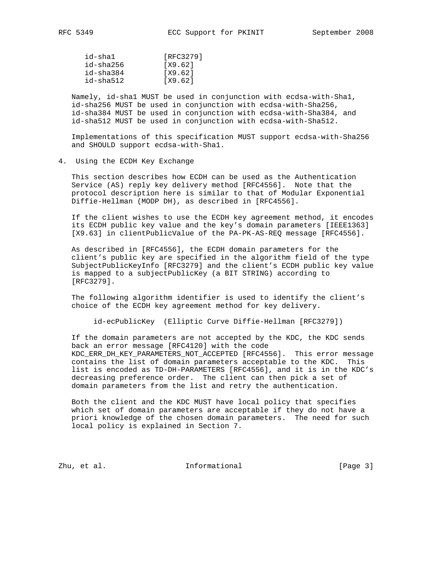| id-shal   | [RFC3279] |
|-----------|-----------|
| id-sha256 | [X9.62]   |
| id-sha384 | [X9.62]   |
| id-sha512 | [X9.62]   |

 Namely, id-sha1 MUST be used in conjunction with ecdsa-with-Sha1, id-sha256 MUST be used in conjunction with ecdsa-with-Sha256, id-sha384 MUST be used in conjunction with ecdsa-with-Sha384, and id-sha512 MUST be used in conjunction with ecdsa-with-Sha512.

 Implementations of this specification MUST support ecdsa-with-Sha256 and SHOULD support ecdsa-with-Sha1.

4. Using the ECDH Key Exchange

 This section describes how ECDH can be used as the Authentication Service (AS) reply key delivery method [RFC4556]. Note that the protocol description here is similar to that of Modular Exponential Diffie-Hellman (MODP DH), as described in [RFC4556].

 If the client wishes to use the ECDH key agreement method, it encodes its ECDH public key value and the key's domain parameters [IEEE1363] [X9.63] in clientPublicValue of the PA-PK-AS-REQ message [RFC4556].

 As described in [RFC4556], the ECDH domain parameters for the client's public key are specified in the algorithm field of the type SubjectPublicKeyInfo [RFC3279] and the client's ECDH public key value is mapped to a subjectPublicKey (a BIT STRING) according to [RFC3279].

 The following algorithm identifier is used to identify the client's choice of the ECDH key agreement method for key delivery.

id-ecPublicKey (Elliptic Curve Diffie-Hellman [RFC3279])

 If the domain parameters are not accepted by the KDC, the KDC sends back an error message [RFC4120] with the code KDC\_ERR\_DH\_KEY\_PARAMETERS\_NOT\_ACCEPTED [RFC4556]. This error message contains the list of domain parameters acceptable to the KDC. This list is encoded as TD-DH-PARAMETERS [RFC4556], and it is in the KDC's decreasing preference order. The client can then pick a set of domain parameters from the list and retry the authentication.

 Both the client and the KDC MUST have local policy that specifies which set of domain parameters are acceptable if they do not have a priori knowledge of the chosen domain parameters. The need for such local policy is explained in Section 7.

Zhu, et al. 10. Informational 1. [Page 3]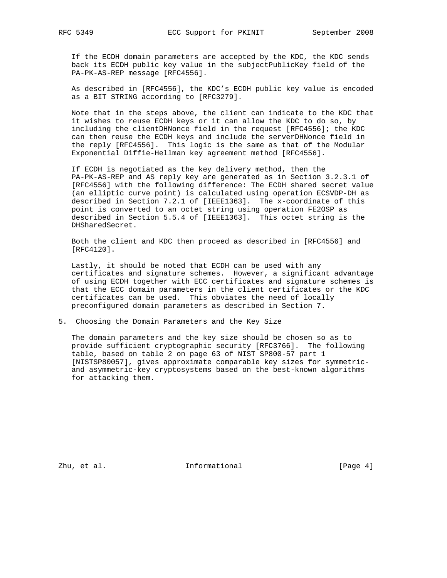If the ECDH domain parameters are accepted by the KDC, the KDC sends back its ECDH public key value in the subjectPublicKey field of the PA-PK-AS-REP message [RFC4556].

 As described in [RFC4556], the KDC's ECDH public key value is encoded as a BIT STRING according to [RFC3279].

 Note that in the steps above, the client can indicate to the KDC that it wishes to reuse ECDH keys or it can allow the KDC to do so, by including the clientDHNonce field in the request [RFC4556]; the KDC can then reuse the ECDH keys and include the serverDHNonce field in the reply [RFC4556]. This logic is the same as that of the Modular Exponential Diffie-Hellman key agreement method [RFC4556].

 If ECDH is negotiated as the key delivery method, then the PA-PK-AS-REP and AS reply key are generated as in Section 3.2.3.1 of [RFC4556] with the following difference: The ECDH shared secret value (an elliptic curve point) is calculated using operation ECSVDP-DH as described in Section 7.2.1 of [IEEE1363]. The x-coordinate of this point is converted to an octet string using operation FE2OSP as described in Section 5.5.4 of [IEEE1363]. This octet string is the DHSharedSecret.

 Both the client and KDC then proceed as described in [RFC4556] and [RFC4120].

 Lastly, it should be noted that ECDH can be used with any certificates and signature schemes. However, a significant advantage of using ECDH together with ECC certificates and signature schemes is that the ECC domain parameters in the client certificates or the KDC certificates can be used. This obviates the need of locally preconfigured domain parameters as described in Section 7.

5. Choosing the Domain Parameters and the Key Size

 The domain parameters and the key size should be chosen so as to provide sufficient cryptographic security [RFC3766]. The following table, based on table 2 on page 63 of NIST SP800-57 part 1 [NISTSP80057], gives approximate comparable key sizes for symmetric and asymmetric-key cryptosystems based on the best-known algorithms for attacking them.

Zhu, et al. 10. Informational 1. [Page 4]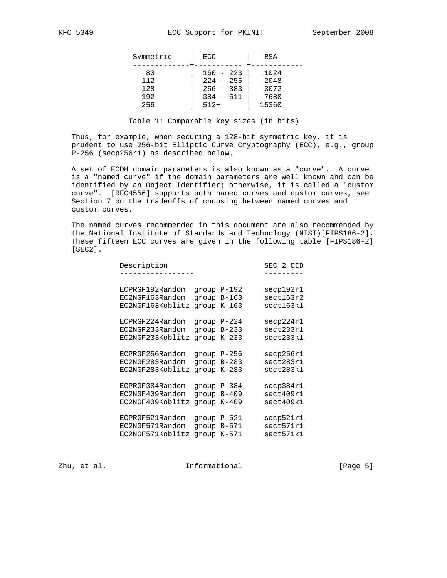| Symmetric | ECC         | RSA   |
|-----------|-------------|-------|
| 80        | $160 - 223$ | 1024  |
| 112       | $224 - 255$ | 2048  |
| 128       | $256 - 383$ | 3072  |
| 192       | $384 - 511$ | 7680  |
| 256       | $512+$      | 15360 |

Table 1: Comparable key sizes (in bits)

 Thus, for example, when securing a 128-bit symmetric key, it is prudent to use 256-bit Elliptic Curve Cryptography (ECC), e.g., group P-256 (secp256r1) as described below.

 A set of ECDH domain parameters is also known as a "curve". A curve is a "named curve" if the domain parameters are well known and can be identified by an Object Identifier; otherwise, it is called a "custom curve". [RFC4556] supports both named curves and custom curves, see Section 7 on the tradeoffs of choosing between named curves and custom curves.

 The named curves recommended in this document are also recommended by the National Institute of Standards and Technology (NIST)[FIPS186-2]. These fifteen ECC curves are given in the following table [FIPS186-2] [SEC2].

| Description                                            |                  |                                           | SEC 2 OID                           |
|--------------------------------------------------------|------------------|-------------------------------------------|-------------------------------------|
|                                                        |                  |                                           |                                     |
| ECPRGF192Random                                        |                  | $q$ roup $P-192$                          | secp192r1                           |
| EC2NGF163Random                                        |                  | group B-163                               | sect163r2                           |
| EC2NGF163Koblitz                                       | $q$ roup $K-163$ |                                           | sect163k1                           |
| ECPRGF224Random                                        |                  | qroup $P-224$                             | secp224r1                           |
| EC2NGF233Random                                        |                  | $q$ roup $B-233$                          | sect233r1                           |
| EC2NGF233Koblitz                                       | $q$ roup $K-233$ |                                           | sect233k1                           |
| ECPRGF256Random                                        |                  | $q$ roup $P-256$                          | secp256r1                           |
| EC2NGF283Random                                        |                  | qroup B-283                               | sect283r1                           |
| EC2NGF283Koblitz                                       | qroup K-283      |                                           | sect283k1                           |
| ECPRGF384Random                                        |                  | $q$ roup $P-384$                          | secp384r1                           |
| EC2NGF409Random                                        |                  | $q$ roup $B-409$                          | sect409r1                           |
| EC2NGF409Koblitz                                       | $q$ roup $K-409$ |                                           | sect409k1                           |
| ECPRGF521Random<br>EC2NGF571Random<br>EC2NGF571Koblitz |                  | group P-521<br>group B-571<br>qroup K-571 | secp521r1<br>sect571r1<br>sect571k1 |
|                                                        |                  |                                           |                                     |

Zhu, et al. 10. Informational 1. [Page 5]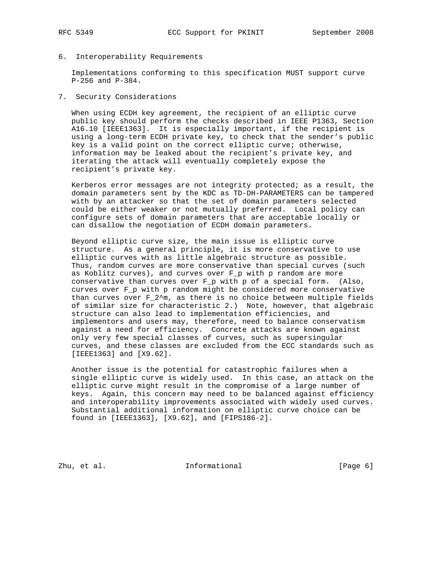6. Interoperability Requirements

 Implementations conforming to this specification MUST support curve P-256 and P-384.

7. Security Considerations

 When using ECDH key agreement, the recipient of an elliptic curve public key should perform the checks described in IEEE P1363, Section A16.10 [IEEE1363]. It is especially important, if the recipient is using a long-term ECDH private key, to check that the sender's public key is a valid point on the correct elliptic curve; otherwise, information may be leaked about the recipient's private key, and iterating the attack will eventually completely expose the recipient's private key.

 Kerberos error messages are not integrity protected; as a result, the domain parameters sent by the KDC as TD-DH-PARAMETERS can be tampered with by an attacker so that the set of domain parameters selected could be either weaker or not mutually preferred. Local policy can configure sets of domain parameters that are acceptable locally or can disallow the negotiation of ECDH domain parameters.

 Beyond elliptic curve size, the main issue is elliptic curve structure. As a general principle, it is more conservative to use elliptic curves with as little algebraic structure as possible. Thus, random curves are more conservative than special curves (such as Koblitz curves), and curves over F\_p with p random are more conservative than curves over F\_p with p of a special form. (Also, curves over F\_p with p random might be considered more conservative than curves over  $F_2^m$ , as there is no choice between multiple fields of similar size for characteristic 2.) Note, however, that algebraic structure can also lead to implementation efficiencies, and implementors and users may, therefore, need to balance conservatism against a need for efficiency. Concrete attacks are known against only very few special classes of curves, such as supersingular curves, and these classes are excluded from the ECC standards such as [IEEE1363] and [X9.62].

 Another issue is the potential for catastrophic failures when a single elliptic curve is widely used. In this case, an attack on the elliptic curve might result in the compromise of a large number of keys. Again, this concern may need to be balanced against efficiency and interoperability improvements associated with widely used curves. Substantial additional information on elliptic curve choice can be found in [IEEE1363], [X9.62], and [FIPS186-2].

Zhu, et al. 10. Informational 1. [Page 6]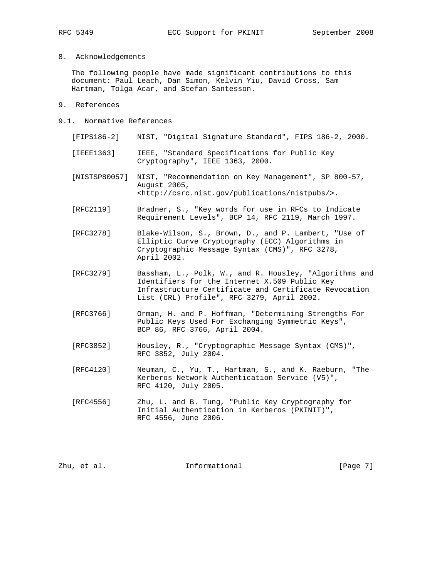8. Acknowledgements

 The following people have made significant contributions to this document: Paul Leach, Dan Simon, Kelvin Yiu, David Cross, Sam Hartman, Tolga Acar, and Stefan Santesson.

- 9. References
- 9.1. Normative References
	- [FIPS186-2] NIST, "Digital Signature Standard", FIPS 186-2, 2000.
	- [IEEE1363] IEEE, "Standard Specifications for Public Key Cryptography", IEEE 1363, 2000.
	- [NISTSP80057] NIST, "Recommendation on Key Management", SP 800-57, August 2005, <http://csrc.nist.gov/publications/nistpubs/>.
	- [RFC2119] Bradner, S., "Key words for use in RFCs to Indicate Requirement Levels", BCP 14, RFC 2119, March 1997.
	- [RFC3278] Blake-Wilson, S., Brown, D., and P. Lambert, "Use of Elliptic Curve Cryptography (ECC) Algorithms in Cryptographic Message Syntax (CMS)", RFC 3278, April 2002.
	- [RFC3279] Bassham, L., Polk, W., and R. Housley, "Algorithms and Identifiers for the Internet X.509 Public Key Infrastructure Certificate and Certificate Revocation List (CRL) Profile", RFC 3279, April 2002.
	- [RFC3766] Orman, H. and P. Hoffman, "Determining Strengths For Public Keys Used For Exchanging Symmetric Keys", BCP 86, RFC 3766, April 2004.
	- [RFC3852] Housley, R., "Cryptographic Message Syntax (CMS)", RFC 3852, July 2004.
	- [RFC4120] Neuman, C., Yu, T., Hartman, S., and K. Raeburn, "The Kerberos Network Authentication Service (V5)", RFC 4120, July 2005.
	- [RFC4556] Zhu, L. and B. Tung, "Public Key Cryptography for Initial Authentication in Kerberos (PKINIT)", RFC 4556, June 2006.

Zhu, et al. 10. Informational 1. [Page 7]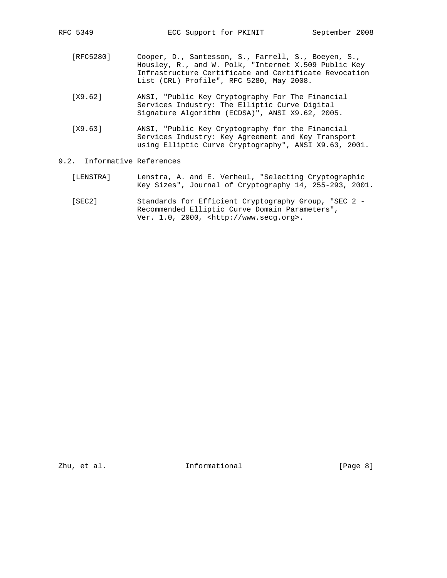- [RFC5280] Cooper, D., Santesson, S., Farrell, S., Boeyen, S., Housley, R., and W. Polk, "Internet X.509 Public Key Infrastructure Certificate and Certificate Revocation List (CRL) Profile", RFC 5280, May 2008.
- [X9.62] ANSI, "Public Key Cryptography For The Financial Services Industry: The Elliptic Curve Digital Signature Algorithm (ECDSA)", ANSI X9.62, 2005.
- [X9.63] ANSI, "Public Key Cryptography for the Financial Services Industry: Key Agreement and Key Transport using Elliptic Curve Cryptography", ANSI X9.63, 2001.

## 9.2. Informative References

- [LENSTRA] Lenstra, A. and E. Verheul, "Selecting Cryptographic Key Sizes", Journal of Cryptography 14, 255-293, 2001.
- [SEC2] Standards for Efficient Cryptography Group, "SEC 2 Recommended Elliptic Curve Domain Parameters", Ver. 1.0, 2000, <http://www.secg.org>.

Zhu, et al. 10. Informational 1. [Page 8]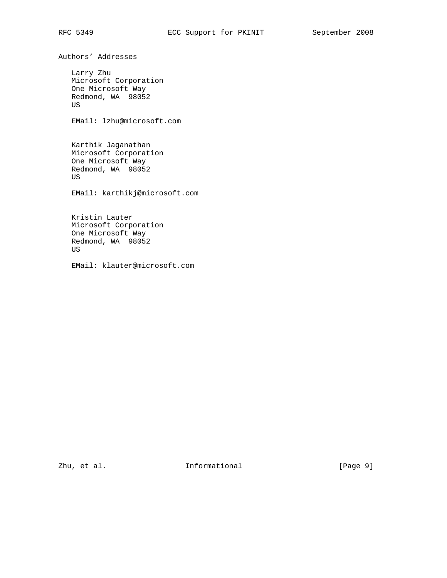Authors' Addresses

 Larry Zhu Microsoft Corporation One Microsoft Way Redmond, WA 98052 US

EMail: lzhu@microsoft.com

 Karthik Jaganathan Microsoft Corporation One Microsoft Way Redmond, WA 98052 US

EMail: karthikj@microsoft.com

 Kristin Lauter Microsoft Corporation One Microsoft Way Redmond, WA 98052 US

EMail: klauter@microsoft.com

Zhu, et al. 10. Informational 1. [Page 9]